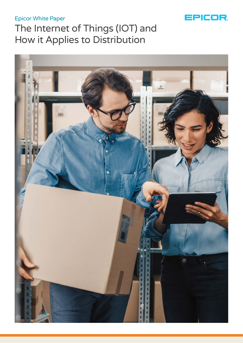## Epicor White Paper



# The Internet of Things (IOT) and How it Applies to Distribution

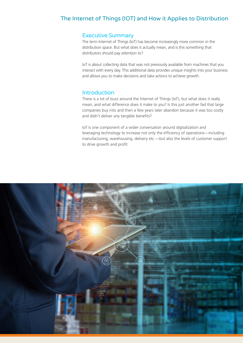## The Internet of Things (IOT) and How it Applies to Distribution

#### Executive Summary

The term Internet of Things (IoT) has become increasingly more common in the distribution space. But what does it actually mean, and is this something that distributors should pay attention to?

IoT is about collecting data that was not previously available from machines that you interact with every day. This additional data provides unique insights into your business and allows you to make decisions and take actions to achieve growth.

#### **Introduction**

There is a lot of buzz around the Internet of Things (IoT), but what does it really mean, and what difference does it make to you? Is this just another fad that large companies buy into and then a few years later abandon because it was too costly and didn't deliver any tangible benefits?

IoT is one component of a wider conversation around digitalization and leveraging technology to increase not only the efficiency of operations—including manufacturing, warehousing, delivery etc.—but also the levels of customer support to drive growth and profit.

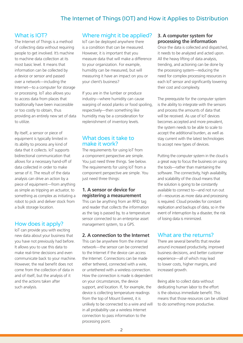## The Internet of Things (IOT) and How it Applies to Distribution

#### What is IOT?

The Internet of Things is a method of collecting data without requiring people to get involved. It's machine to machine data collection at its most basic level. It means that information can be collected by a device or sensor and passed over a network—including the Internet—to a computer for storage or processing. IoT also allows you to access data from places that traditionally have been inaccessible or too costly to obtain, thus providing an entirely new set of data to utilize.

By itself, a sensor or piece of equipment is typically limited in its ability to process any kind of data that it collects. IoT supports bidirectional communication that allows for a necessary hand-off of data collected in order to make sense of it. The result of the data analysis can drive an action by a piece of equipment—from anything as simple as tripping an actuator, to something as complex as initiating a robot to pick and deliver stock from a bulk storage location.

#### How does it apply?

IoT can provide you with exciting new data about your business that you have not previously had before. It allows you to use this data to make real-time decisions and even communicate back to your machine. However, the real benefit does not come from the collection of data in and of itself, but the analysis of it and the actions taken after such analysis.

#### Where might it be applied?

IoT can be deployed anywhere there is a condition that can be measured. However, it is important that you measure data that will make a difference to your organization. For example, humidity can be measured, but will measuring it have an impact on you or your client's business?

If you are in the lumber or produce industry—where humidity can cause warping of wood planks or food spoiling, respectively—then something like humidity may be a consideration for replenishment of inventory levels.

#### What does it take to make it work?

The requirements for using IoT from a component perspective are simple. You just need three things. See below. The requirements for using IoT from a component perspective are simple. You just need three things:

#### **1. A sensor or device for registering a measurement**

This can be anything from an RFID tag and reader that collects the information as the tag is passed by, to a temperature sensor connected to an enterprise asset management system, to a GPS.

#### **2. A connection to the Internet**

This can be anywhere from the internal network—the sensor can be connected to the Internet if the device can access the Internet. Connections can be made either tethered, connected with a wire, or untethered with a wireless connection. How the connection is made is dependent on your circumstances, the device support, and location. If, for example, the device is collecting temperature readings from the top of Mount Everest, it is unlikely to be connected to a wire and will in all probability use a wireless Internet connection to pass information to the processing point.

#### **3. A computer system for processing the information**

Once the data is collected and dispatched, it needs to be analyzed and acted upon. All the heavy lifting of data analysis, trending, and actioning can be done by the processing system—reducing the need for complex processing resources in each IoT sensor and significantly lowering their cost and complexity.

The prerequisite for the computer system is the ability to integrate with the sensors and process the amounts of data that will be received. As use of IoT devices becomes accepted and more prevalent, the system needs to be able to scale to accept the additional burden, as well as stay current with the latest technologies to accept new types of devices.

Putting the computer system in the cloud is a great way to focus the business on using the tools—rather than maintaining the software. The connectivity, high availability, and scalability of the cloud means that the solution is going to be constantly available to connect to—and not run out of—resources as more data and processing is required. Cloud provides for constant replication and backups of data, so in the event of interruption by a disaster, the risk of losing data is minimized.

#### What are the returns?

There are several benefits that revolve around increased productivity, improved business decisions, and better customer experience—all of which may lead to lower costs, higher margins, and increased growth.

Being able to collect data without dedicating human labor to the effort is the obvious immediate benefit. This means that those resources can be utilized to do something more productive.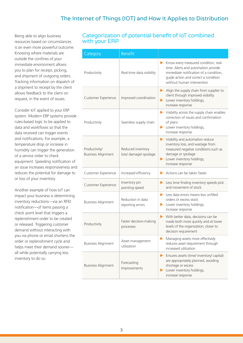Being able to align business resources based on circumstances is an even more powerful outcome. Knowing where materials are outside the confines of your immediate environment allows you to plan for receipt, picking, and shipment of outgoing orders. Tracking information on dispatch of a shipment to receipt by the client allows feedback to the client on request, in the event of issues.

Consider IoT applied to your ERP system. Modern ERP systems provide rules-based logic to be applied to data and workflows so that the data received can trigger events and notifications. For example, a temperature drop or increase in humidity can trigger the generation of a service order to check equipment. Speeding notification of an issue increases responsiveness and reduces the potential for damage to or loss of your inventory.

Another example of how IoT can impact your business is determining inventory reductions—via an RFID notification—of items passing a check point level that triggers a replenishment order to be created or released. Triggering customer demand without interacting with you via phone or email shortens the order or replenishment cycle and helps meet their demand sooner all while potentially carrying less inventory to do so.

### Categorization of potential benefit of IoT combined with your ERP

| Category                                   | <b>Benefit</b>                              |                                                                                                                                                                                                  |
|--------------------------------------------|---------------------------------------------|--------------------------------------------------------------------------------------------------------------------------------------------------------------------------------------------------|
| Productivity                               | Real-time data visibility                   | Know every measured condition, real-<br>▶<br>time. Alerts and automation provide<br>immediate notification of a condition,<br>guide action and correct a condition<br>without human intervention |
| Customer Experience                        | Improved coordination                       | Align the supply chain from supplier to<br>▶<br>client through improved visibility<br>Lower inventory holdings,<br>▶<br>increase response                                                        |
| Productivity                               | Seamless supply chain                       | $\blacktriangleright$ Visibility across the supply chain enables<br>correction of issues and confirmation<br>of plans<br>Lower inventory holdings,<br>▶<br>increase response                     |
| Productivity/<br><b>Business Alignment</b> | Reduced inventory<br>loss/ damage/ spoilage | Visibility and automation reduce<br>▶<br>inventory loss, and wastage from<br>measured negative conditions such as<br>damage or spoilage<br>Lower inventory holdings,<br>▶<br>increase response   |
| Customer Experience                        | Increased efficiency                        | Actions can be taken faster<br>▶                                                                                                                                                                 |
| Customer Experience                        | Inventory pin<br>pointing speed             | Less time finding inventory speeds pick<br>▶<br>and movement of stock                                                                                                                            |
| <b>Business Alignment</b>                  | Reduction in data<br>reporting errors       | $\blacktriangleright$ Less data errors means less unfilled<br>orders or excess stock<br>Lower inventory holdings,<br>▶<br>increase response                                                      |
| Productivity                               | Faster decision-making<br>processes         | With better data, decisions can be<br>▶<br>made both more quickly and at lower<br>levels of the organization; closer to<br>decision requirement                                                  |
| <b>Business Alignment</b>                  | Asset management<br>utilization             | Managing assets more effectively<br>▶<br>reduces asset requirement through<br>increased utilization                                                                                              |
| <b>Business Alignment</b>                  | Forecasting<br>Improvements                 | Ensures assets (time/ inventory/ capital)<br>▶<br>are appropriately planned, avoiding<br>shortage or excess<br>Lower inventory holdings,<br>increase response                                    |